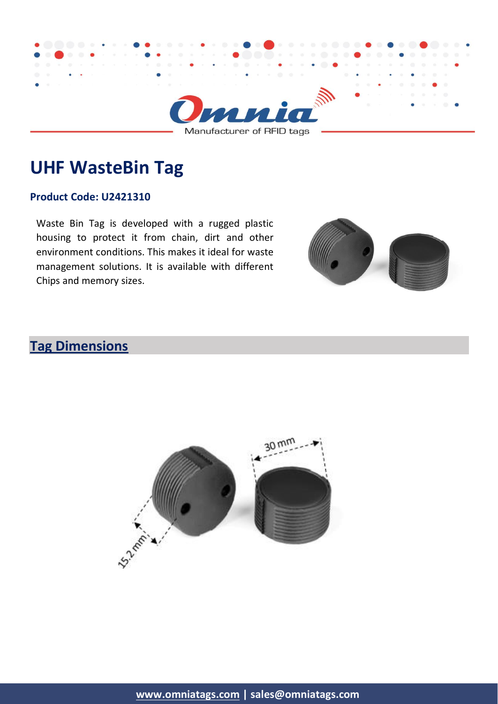

# **UHF WasteBin Tag**

#### **Product Code: U2421310**

Waste Bin Tag is developed with a rugged plastic housing to protect it from chain, dirt and other environment conditions. This makes it ideal for waste management solutions. It is available with different Chips and memory sizes.



# **Tag Dimensions**

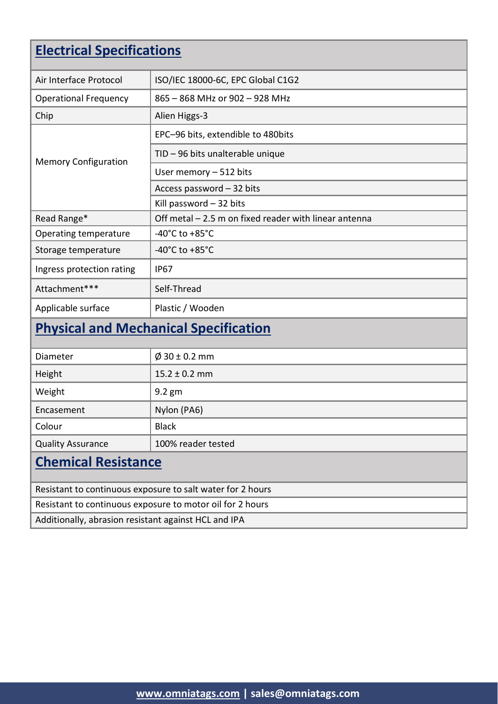# **Electrical Specifications**

| Air Interface Protocol                       | ISO/IEC 18000-6C, EPC Global C1G2                     |  |
|----------------------------------------------|-------------------------------------------------------|--|
| <b>Operational Frequency</b>                 | 865 - 868 MHz or 902 - 928 MHz                        |  |
| Chip                                         | Alien Higgs-3                                         |  |
| <b>Memory Configuration</b>                  | EPC-96 bits, extendible to 480bits                    |  |
|                                              | TID - 96 bits unalterable unique                      |  |
|                                              | User memory - 512 bits                                |  |
|                                              | Access password - 32 bits                             |  |
|                                              | Kill password $-32$ bits                              |  |
| Read Range*                                  | Off metal - 2.5 m on fixed reader with linear antenna |  |
| Operating temperature                        | -40 $^{\circ}$ C to +85 $^{\circ}$ C                  |  |
| Storage temperature                          | -40 $^{\circ}$ C to +85 $^{\circ}$ C                  |  |
| Ingress protection rating                    | <b>IP67</b>                                           |  |
| Attachment***                                | Self-Thread                                           |  |
| Applicable surface                           | Plastic / Wooden                                      |  |
| <b>Physical and Mechanical Specification</b> |                                                       |  |
| Diameter                                     | $\emptyset$ 30 ± 0.2 mm                               |  |
| Height                                       | $15.2 \pm 0.2$ mm                                     |  |
| Weight                                       | 9.2 gm                                                |  |
| Encasement                                   | Nylon (PA6)                                           |  |
| Colour                                       | <b>Black</b>                                          |  |
| <b>Quality Assurance</b>                     | 100% reader tested                                    |  |
| <b>Chemical Resistance</b>                   |                                                       |  |

Resistant to continuous exposure to salt water for 2 hours

Resistant to continuous exposure to motor oil for 2 hours

Additionally, abrasion resistant against HCL and IPA